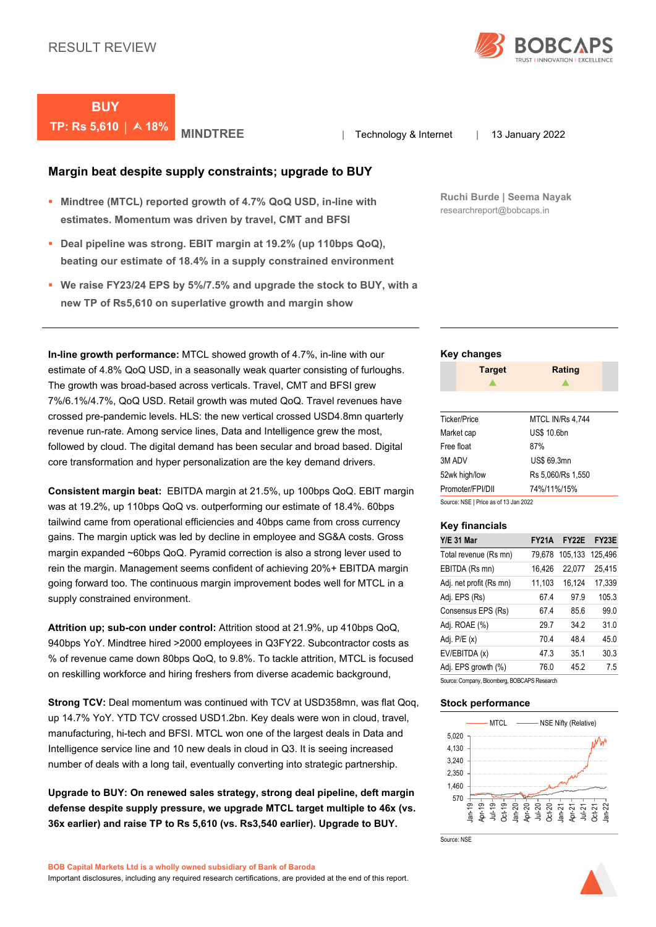

**BUY TP: Rs 5,610** | **A 18% MINDTREE** | Technology & Internet | 13 January 2022

**Margin beat despite supply constraints; upgrade to BUY** 

- **Mindtree (MTCL) reported growth of 4.7% QoQ USD, in-line with estimates. Momentum was driven by travel, CMT and BFSI**
- **Deal pipeline was strong. EBIT margin at 19.2% (up 110bps QoQ), beating our estimate of 18.4% in a supply constrained environment**
- **We raise FY23/24 EPS by 5%/7.5% and upgrade the stock to BUY, with a new TP of Rs5,610 on superlative growth and margin show**

**In-line growth performance:** MTCL showed growth of 4.7%, in-line with our estimate of 4.8% QoQ USD, in a seasonally weak quarter consisting of furloughs. The growth was broad-based across verticals. Travel, CMT and BFSI grew 7%/6.1%/4.7%, QoQ USD. Retail growth was muted QoQ. Travel revenues have crossed pre-pandemic levels. HLS: the new vertical crossed USD4.8mn quarterly revenue run-rate. Among service lines, Data and Intelligence grew the most, followed by cloud. The digital demand has been secular and broad based. Digital core transformation and hyper personalization are the key demand drivers.

**Consistent margin beat:** EBITDA margin at 21.5%, up 100bps QoQ. EBIT margin was at 19.2%, up 110bps QoQ vs. outperforming our estimate of 18.4%. 60bps tailwind came from operational efficiencies and 40bps came from cross currency gains. The margin uptick was led by decline in employee and SG&A costs. Gross margin expanded ~60bps QoQ. Pyramid correction is also a strong lever used to rein the margin. Management seems confident of achieving 20%+ EBITDA margin going forward too. The continuous margin improvement bodes well for MTCL in a supply constrained environment.

**Attrition up; sub-con under control:** Attrition stood at 21.9%, up 410bps QoQ, 940bps YoY. Mindtree hired >2000 employees in Q3FY22. Subcontractor costs as % of revenue came down 80bps QoQ, to 9.8%. To tackle attrition, MTCL is focused on reskilling workforce and hiring freshers from diverse academic background,

**Strong TCV:** Deal momentum was continued with TCV at USD358mn, was flat Qoq, up 14.7% YoY. YTD TCV crossed USD1.2bn. Key deals were won in cloud, travel, manufacturing, hi-tech and BFSI. MTCL won one of the largest deals in Data and Intelligence service line and 10 new deals in cloud in Q3. It is seeing increased number of deals with a long tail, eventually converting into strategic partnership.

**Upgrade to BUY: On renewed sales strategy, strong deal pipeline, deft margin defense despite supply pressure, we upgrade MTCL target multiple to 46x (vs. 36x earlier) and raise TP to Rs 5,610 (vs. Rs3,540 earlier). Upgrade to BUY.**

**Ruchi Burde | Seema Nayak** researchreport@bobcaps.in

### **Key changes**

|              | <b>Target</b>    | <b>Rating</b>     |  |
|--------------|------------------|-------------------|--|
|              |                  |                   |  |
|              |                  |                   |  |
| Ticker/Price |                  | MTCL IN/Rs 4.744  |  |
| Market cap   |                  | US\$ 10.6bn       |  |
| Free float   |                  | 87%               |  |
| 3M ADV       |                  | US\$ 69.3mn       |  |
|              | 52wk high/low    | Rs 5.060/Rs 1.550 |  |
|              | Promoter/FPI/DII | 74%/11%/15%       |  |

Source: NSE | Price as of 13 Jan 2022

### **Key financials**

| <b>Y/E 31 Mar</b>       | <b>FY21A</b> | FY <sub>2</sub> 2E | FY <sub>23</sub> E |
|-------------------------|--------------|--------------------|--------------------|
| Total revenue (Rs mn)   | 79,678       | 105,133            | 125,496            |
| EBITDA (Rs mn)          | 16,426       | 22,077             | 25,415             |
| Adj. net profit (Rs mn) | 11,103       | 16,124             | 17,339             |
| Adj. EPS (Rs)           | 67.4         | 97.9               | 105.3              |
| Consensus EPS (Rs)      | 674          | 856                | 99.0               |
| Adj. ROAE (%)           | 297          | 34.2               | 31.0               |
| Adj. $P/E(x)$           | 70.4         | 484                | 45.0               |
| EV/EBITDA (x)           | 473          | 35.1               | 30.3               |
| Adj. EPS growth (%)     | 76.0         | 45.2               | 7.5                |

Source: Company, Bloomberg, BOBCAPS Research

### **Stock performance**



Source: NSE

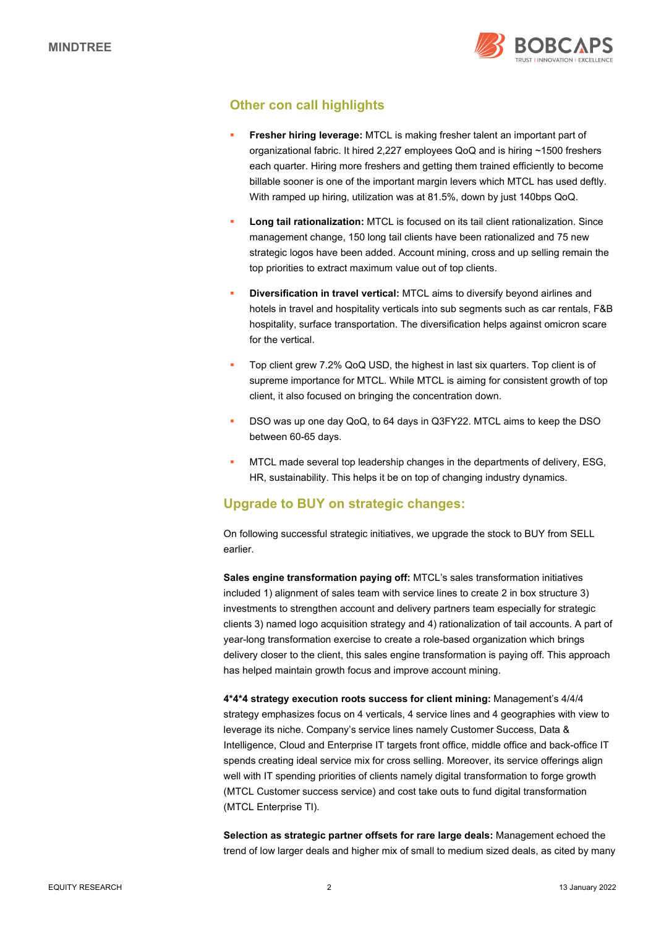

## **Other con call highlights**

- **Fresher hiring leverage:** MTCL is making fresher talent an important part of organizational fabric. It hired 2,227 employees QoQ and is hiring ~1500 freshers each quarter. Hiring more freshers and getting them trained efficiently to become billable sooner is one of the important margin levers which MTCL has used deftly. With ramped up hiring, utilization was at 81.5%, down by just 140bps QoQ.
- **Long tail rationalization:** MTCL is focused on its tail client rationalization. Since management change, 150 long tail clients have been rationalized and 75 new strategic logos have been added. Account mining, cross and up selling remain the top priorities to extract maximum value out of top clients.
- **Diversification in travel vertical:** MTCL aims to diversify beyond airlines and hotels in travel and hospitality verticals into sub segments such as car rentals, F&B hospitality, surface transportation. The diversification helps against omicron scare for the vertical.
- Top client grew 7.2% QoQ USD, the highest in last six quarters. Top client is of supreme importance for MTCL. While MTCL is aiming for consistent growth of top client, it also focused on bringing the concentration down.
- DSO was up one day QoQ, to 64 days in Q3FY22. MTCL aims to keep the DSO between 60-65 days.
- MTCL made several top leadership changes in the departments of delivery, ESG, HR, sustainability. This helps it be on top of changing industry dynamics.

## **Upgrade to BUY on strategic changes:**

On following successful strategic initiatives, we upgrade the stock to BUY from SELL earlier.

**Sales engine transformation paying off:** MTCL's sales transformation initiatives included 1) alignment of sales team with service lines to create 2 in box structure 3) investments to strengthen account and delivery partners team especially for strategic clients 3) named logo acquisition strategy and 4) rationalization of tail accounts. A part of year-long transformation exercise to create a role-based organization which brings delivery closer to the client, this sales engine transformation is paying off. This approach has helped maintain growth focus and improve account mining.

**4\*4\*4 strategy execution roots success for client mining:** Management's 4/4/4 strategy emphasizes focus on 4 verticals, 4 service lines and 4 geographies with view to leverage its niche. Company's service lines namely Customer Success, Data & Intelligence, Cloud and Enterprise IT targets front office, middle office and back-office IT spends creating ideal service mix for cross selling. Moreover, its service offerings align well with IT spending priorities of clients namely digital transformation to forge growth (MTCL Customer success service) and cost take outs to fund digital transformation (MTCL Enterprise TI).

**Selection as strategic partner offsets for rare large deals:** Management echoed the trend of low larger deals and higher mix of small to medium sized deals, as cited by many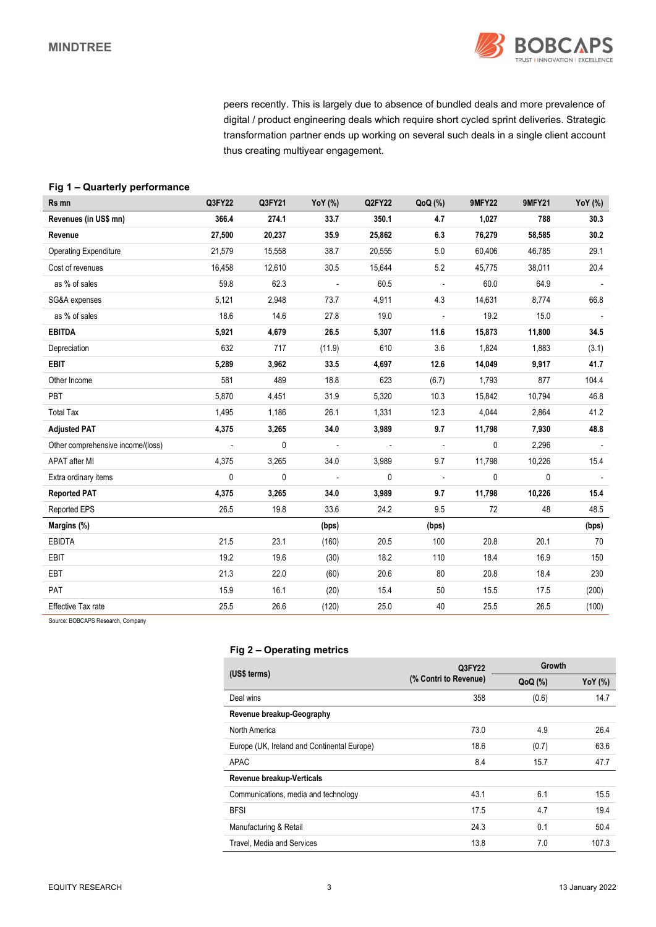

peers recently. This is largely due to absence of bundled deals and more prevalence of digital / product engineering deals which require short cycled sprint deliveries. Strategic transformation partner ends up working on several such deals in a single client account thus creating multiyear engagement.

## **Fig 1 – Quarterly performance**

| Rs mn                             | Q3FY22                   | Q3FY21 | <b>YoY</b> (%)           | Q2FY22                   | QoQ(%)                   | <b>9MFY22</b> | <b>9MFY21</b> | YoY (%)                  |
|-----------------------------------|--------------------------|--------|--------------------------|--------------------------|--------------------------|---------------|---------------|--------------------------|
| Revenues (in US\$ mn)             | 366.4                    | 274.1  | 33.7                     | 350.1                    | 4.7                      | 1,027         | 788           | 30.3                     |
| Revenue                           | 27,500                   | 20,237 | 35.9                     | 25,862                   | 6.3                      | 76,279        | 58,585        | 30.2                     |
| <b>Operating Expenditure</b>      | 21,579                   | 15,558 | 38.7                     | 20,555                   | 5.0                      | 60,406        | 46,785        | 29.1                     |
| Cost of revenues                  | 16,458                   | 12,610 | 30.5                     | 15,644                   | 5.2                      | 45,775        | 38,011        | 20.4                     |
| as % of sales                     | 59.8                     | 62.3   | $\overline{\phantom{a}}$ | 60.5                     | $\overline{\phantom{a}}$ | 60.0          | 64.9          |                          |
| SG&A expenses                     | 5,121                    | 2,948  | 73.7                     | 4,911                    | 4.3                      | 14,631        | 8,774         | 66.8                     |
| as % of sales                     | 18.6                     | 14.6   | 27.8                     | 19.0                     | $\blacksquare$           | 19.2          | 15.0          |                          |
| <b>EBITDA</b>                     | 5,921                    | 4,679  | 26.5                     | 5,307                    | 11.6                     | 15,873        | 11,800        | 34.5                     |
| Depreciation                      | 632                      | 717    | (11.9)                   | 610                      | 3.6                      | 1,824         | 1,883         | (3.1)                    |
| <b>EBIT</b>                       | 5,289                    | 3,962  | 33.5                     | 4,697                    | 12.6                     | 14,049        | 9,917         | 41.7                     |
| Other Income                      | 581                      | 489    | 18.8                     | 623                      | (6.7)                    | 1,793         | 877           | 104.4                    |
| PBT                               | 5,870                    | 4,451  | 31.9                     | 5,320                    | 10.3                     | 15,842        | 10,794        | 46.8                     |
| <b>Total Tax</b>                  | 1,495                    | 1,186  | 26.1                     | 1,331                    | 12.3                     | 4,044         | 2,864         | 41.2                     |
| <b>Adjusted PAT</b>               | 4,375                    | 3,265  | 34.0                     | 3,989                    | 9.7                      | 11,798        | 7,930         | 48.8                     |
| Other comprehensive income/(loss) | $\overline{\phantom{a}}$ | 0      | $\overline{\phantom{a}}$ | $\overline{\phantom{a}}$ | $\overline{\phantom{a}}$ | 0             | 2,296         | $\overline{\phantom{a}}$ |
| APAT after MI                     | 4,375                    | 3,265  | 34.0                     | 3,989                    | 9.7                      | 11,798        | 10,226        | 15.4                     |
| Extra ordinary items              | 0                        | 0      | $\overline{\phantom{a}}$ | 0                        | $\overline{\phantom{a}}$ | 0             | 0             |                          |
| <b>Reported PAT</b>               | 4,375                    | 3,265  | 34.0                     | 3,989                    | 9.7                      | 11,798        | 10,226        | 15.4                     |
| Reported EPS                      | 26.5                     | 19.8   | 33.6                     | 24.2                     | 9.5                      | 72            | 48            | 48.5                     |
| Margins (%)                       |                          |        | (bps)                    |                          | (bps)                    |               |               | (bps)                    |
| <b>EBIDTA</b>                     | 21.5                     | 23.1   | (160)                    | 20.5                     | 100                      | 20.8          | 20.1          | 70                       |
| EBIT                              | 19.2                     | 19.6   | (30)                     | 18.2                     | 110                      | 18.4          | 16.9          | 150                      |
| EBT                               | 21.3                     | 22.0   | (60)                     | 20.6                     | 80                       | 20.8          | 18.4          | 230                      |
| PAT                               | 15.9                     | 16.1   | (20)                     | 15.4                     | 50                       | 15.5          | 17.5          | (200)                    |
| Effective Tax rate                | 25.5                     | 26.6   | (120)                    | 25.0                     | 40                       | 25.5          | 26.5          | (100)                    |

Source: BOBCAPS Research, Company

### **Fig 2 – Operating metrics**

|                                             | Q3FY22                | Growth  |                |  |
|---------------------------------------------|-----------------------|---------|----------------|--|
| (US\$ terms)                                | (% Contri to Revenue) | QoQ (%) | <b>YoY</b> (%) |  |
| Deal wins                                   | 358                   | (0.6)   | 14.7           |  |
| Revenue breakup-Geography                   |                       |         |                |  |
| North America                               | 73.0                  | 4.9     | 26.4           |  |
| Europe (UK, Ireland and Continental Europe) | 18.6                  | (0.7)   | 63.6           |  |
| APAC                                        | 8.4                   | 15.7    | 47.7           |  |
| Revenue breakup-Verticals                   |                       |         |                |  |
| Communications, media and technology        | 43.1                  | 6.1     | 15.5           |  |
| <b>BFSI</b>                                 | 17.5                  | 4.7     | 19.4           |  |
| Manufacturing & Retail                      | 24.3                  | 0.1     | 50.4           |  |
| Travel, Media and Services                  | 13.8                  | 7.0     | 107.3          |  |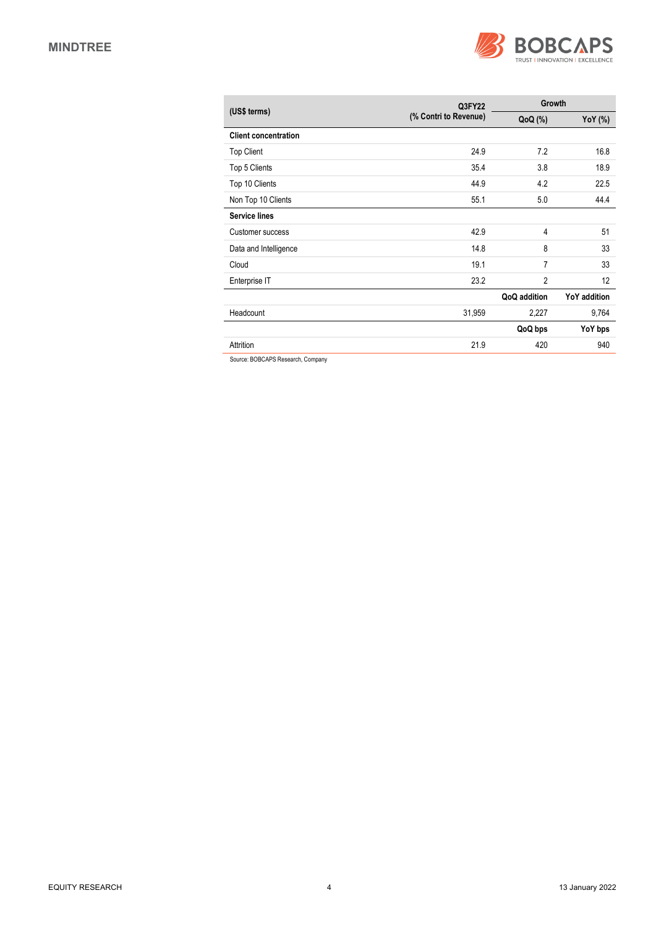

| (US\$ terms)                | Q3FY22                |                | Growth              |  |  |
|-----------------------------|-----------------------|----------------|---------------------|--|--|
|                             | (% Contri to Revenue) | $QoQ$ $(\%)$   | YoY (%)             |  |  |
| <b>Client concentration</b> |                       |                |                     |  |  |
| <b>Top Client</b>           | 24.9                  | 7.2            | 16.8                |  |  |
| Top 5 Clients               | 35.4                  | 3.8            | 18.9                |  |  |
| Top 10 Clients              | 44.9                  | 4.2            | 22.5                |  |  |
| Non Top 10 Clients          | 55.1                  | 5.0            | 44.4                |  |  |
| <b>Service lines</b>        |                       |                |                     |  |  |
| Customer success            | 42.9                  | 4              | 51                  |  |  |
| Data and Intelligence       | 14.8                  | 8              | 33                  |  |  |
| Cloud                       | 19.1                  | 7              | 33                  |  |  |
| Enterprise IT               | 23.2                  | $\overline{2}$ | 12                  |  |  |
|                             |                       | QoQ addition   | <b>YoY</b> addition |  |  |
| Headcount                   | 31,959                | 2,227          | 9,764               |  |  |
|                             |                       | QoQ bps        | YoY bps             |  |  |
| Attrition                   | 21.9                  | 420            | 940                 |  |  |

Source: BOBCAPS Research, Company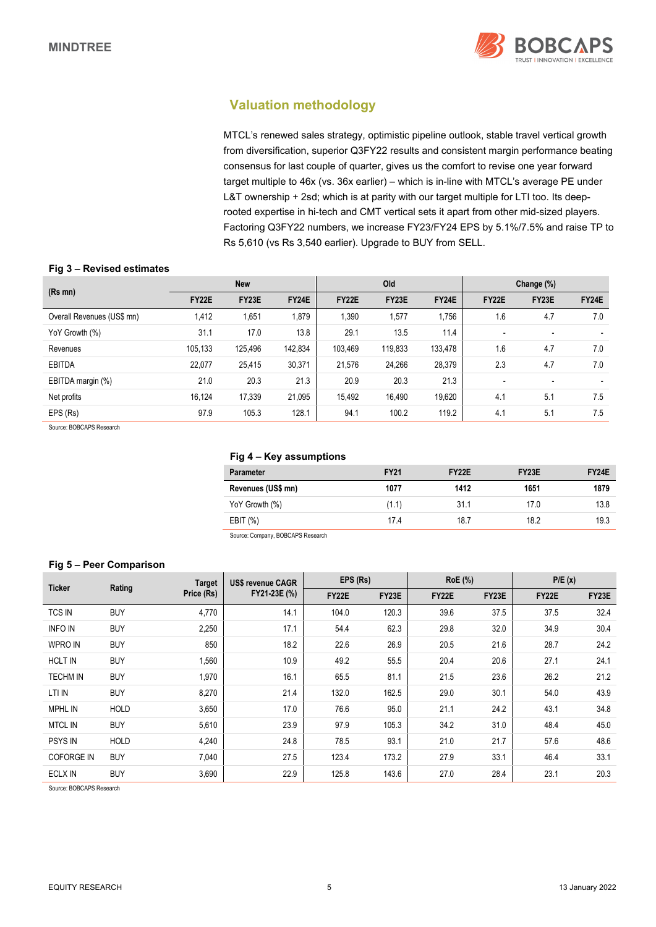

## **Valuation methodology**

MTCL's renewed sales strategy, optimistic pipeline outlook, stable travel vertical growth from diversification, superior Q3FY22 results and consistent margin performance beating consensus for last couple of quarter, gives us the comfort to revise one year forward target multiple to 46x (vs. 36x earlier) – which is in-line with MTCL's average PE under L&T ownership + 2sd; which is at parity with our target multiple for LTI too. Its deeprooted expertise in hi-tech and CMT vertical sets it apart from other mid-sized players. Factoring Q3FY22 numbers, we increase FY23/FY24 EPS by 5.1%/7.5% and raise TP to Rs 5,610 (vs Rs 3,540 earlier). Upgrade to BUY from SELL.

### **Fig 3 – Revised estimates**

| $(Rs$ mn $)$               |         | <b>New</b> |              |              | Old     |         |       | Change (%) |       |
|----------------------------|---------|------------|--------------|--------------|---------|---------|-------|------------|-------|
|                            | FY22E   | FY23E      | <b>FY24E</b> | <b>FY22E</b> | FY23E   | FY24E   | FY22E | FY23E      | FY24E |
| Overall Revenues (US\$ mn) | 1,412   | .651       | 1,879        | 1,390        | 1,577   | 1,756   | 1.6   | 4.7        | 7.0   |
| YoY Growth (%)             | 31.1    | 17.0       | 13.8         | 29.1         | 13.5    | 11.4    | ٠     |            |       |
| Revenues                   | 105,133 | 125,496    | 142,834      | 103.469      | 119,833 | 133,478 | 1.6   | 4.7        | 7.0   |
| <b>EBITDA</b>              | 22,077  | 25,415     | 30,371       | 21,576       | 24,266  | 28,379  | 2.3   | 4.7        | 7.0   |
| EBITDA margin (%)          | 21.0    | 20.3       | 21.3         | 20.9         | 20.3    | 21.3    |       |            |       |
| Net profits                | 16.124  | 17,339     | 21,095       | 15,492       | 16,490  | 19,620  | 4.1   | 5.1        | 7.5   |
| EPS (Rs)                   | 97.9    | 105.3      | 128.1        | 94.1         | 100.2   | 119.2   | 4.1   | 5.1        | 7.5   |

Source: BOBCAPS Research

### **Fig 4 – Key assumptions**

| <b>Parameter</b>   | <b>FY21</b> | <b>FY22E</b> | <b>FY23E</b> | FY <sub>24</sub> E |
|--------------------|-------------|--------------|--------------|--------------------|
| Revenues (US\$ mn) | 1077        | 1412         | 1651         | 1879               |
| YoY Growth (%)     | (1.1)       | 31.1         | 17.0         | 13.8               |
| EBIT $(\%)$        | 17.4        | 18.7         | 18.2         | 19.3               |

Source: Company, BOBCAPS Research

### **Fig 5 – Peer Comparison**

| <b>Ticker</b>     |                      | <b>Target</b> | <b>US\$ revenue CAGR</b> | EPS (Rs) |       | <b>RoE</b> (%) |       | P/E(x) |       |
|-------------------|----------------------|---------------|--------------------------|----------|-------|----------------|-------|--------|-------|
|                   | Rating<br>Price (Rs) |               | FY21-23E (%)             | FY22E    | FY23E | <b>FY22E</b>   | FY23E | FY22E  | FY23E |
| <b>TCS IN</b>     | <b>BUY</b>           | 4,770         | 14.1                     | 104.0    | 120.3 | 39.6           | 37.5  | 37.5   | 32.4  |
| <b>INFO IN</b>    | <b>BUY</b>           | 2,250         | 17.1                     | 54.4     | 62.3  | 29.8           | 32.0  | 34.9   | 30.4  |
| <b>WPRO IN</b>    | <b>BUY</b>           | 850           | 18.2                     | 22.6     | 26.9  | 20.5           | 21.6  | 28.7   | 24.2  |
| <b>HCLT IN</b>    | <b>BUY</b>           | 1,560         | 10.9                     | 49.2     | 55.5  | 20.4           | 20.6  | 27.1   | 24.1  |
| <b>TECHM IN</b>   | <b>BUY</b>           | 1,970         | 16.1                     | 65.5     | 81.1  | 21.5           | 23.6  | 26.2   | 21.2  |
| LTI IN            | <b>BUY</b>           | 8,270         | 21.4                     | 132.0    | 162.5 | 29.0           | 30.1  | 54.0   | 43.9  |
| <b>MPHL IN</b>    | <b>HOLD</b>          | 3,650         | 17.0                     | 76.6     | 95.0  | 21.1           | 24.2  | 43.1   | 34.8  |
| <b>MTCL IN</b>    | <b>BUY</b>           | 5,610         | 23.9                     | 97.9     | 105.3 | 34.2           | 31.0  | 48.4   | 45.0  |
| <b>PSYS IN</b>    | <b>HOLD</b>          | 4,240         | 24.8                     | 78.5     | 93.1  | 21.0           | 21.7  | 57.6   | 48.6  |
| <b>COFORGE IN</b> | <b>BUY</b>           | 7,040         | 27.5                     | 123.4    | 173.2 | 27.9           | 33.1  | 46.4   | 33.1  |
| <b>ECLX IN</b>    | <b>BUY</b>           | 3,690         | 22.9                     | 125.8    | 143.6 | 27.0           | 28.4  | 23.1   | 20.3  |

Source: BOBCAPS Research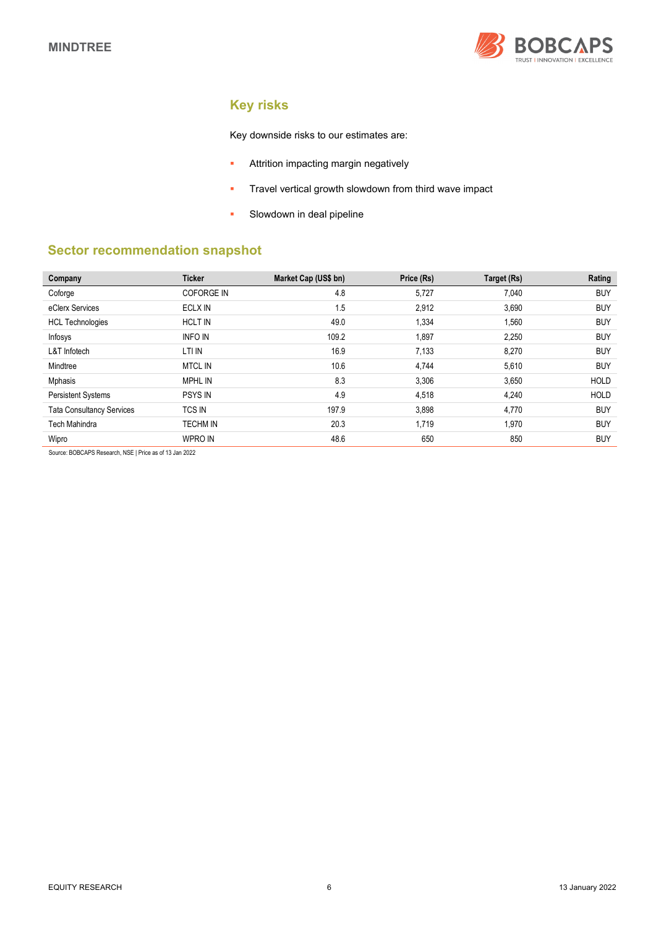

# **Key risks**

Key downside risks to our estimates are:

- **Attrition impacting margin negatively**
- **Travel vertical growth slowdown from third wave impact**
- **Slowdown in deal pipeline**

## **Sector recommendation snapshot**

| Company                          | <b>Ticker</b>     | Market Cap (US\$ bn) | Price (Rs) | Target (Rs) | Rating      |
|----------------------------------|-------------------|----------------------|------------|-------------|-------------|
| Coforge                          | <b>COFORGE IN</b> | 4.8                  | 5,727      | 7,040       | <b>BUY</b>  |
| eClerx Services                  | ECLX IN           | 1.5                  | 2,912      | 3,690       | <b>BUY</b>  |
| <b>HCL Technologies</b>          | <b>HCLT IN</b>    | 49.0                 | 1,334      | 1,560       | <b>BUY</b>  |
| Infosys                          | <b>INFO IN</b>    | 109.2                | 1,897      | 2,250       | <b>BUY</b>  |
| L&T Infotech                     | LTI IN            | 16.9                 | 7,133      | 8,270       | <b>BUY</b>  |
| Mindtree                         | <b>MTCL IN</b>    | 10.6                 | 4,744      | 5,610       | <b>BUY</b>  |
| <b>Mphasis</b>                   | <b>MPHL IN</b>    | 8.3                  | 3,306      | 3,650       | <b>HOLD</b> |
| <b>Persistent Systems</b>        | <b>PSYS IN</b>    | 4.9                  | 4,518      | 4,240       | <b>HOLD</b> |
| <b>Tata Consultancy Services</b> | <b>TCS IN</b>     | 197.9                | 3,898      | 4,770       | <b>BUY</b>  |
| <b>Tech Mahindra</b>             | <b>TECHM IN</b>   | 20.3                 | 1,719      | 1,970       | <b>BUY</b>  |
| Wipro                            | <b>WPRO IN</b>    | 48.6                 | 650        | 850         | <b>BUY</b>  |

Source: BOBCAPS Research, NSE | Price as of 13 Jan 2022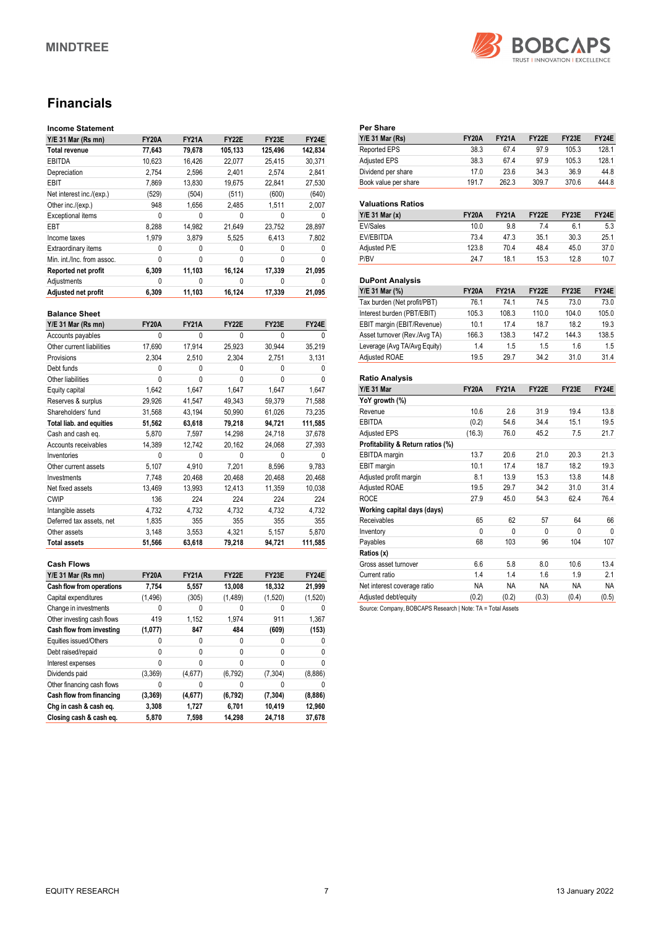

# **Financials**

### **Income Statement**

| $Y/E$ 31 Mar (Rs mn)       | <b>FY20A</b> | <b>FY21A</b> | <b>FY22E</b> | FY23E   | FY24E   |
|----------------------------|--------------|--------------|--------------|---------|---------|
| Total revenue              | 77,643       | 79,678       | 105,133      | 125.496 | 142,834 |
| <b>EBITDA</b>              | 10,623       | 16,426       | 22,077       | 25,415  | 30,371  |
| Depreciation               | 2,754        | 2,596        | 2.401        | 2.574   | 2.841   |
| EBIT                       | 7.869        | 13.830       | 19.675       | 22,841  | 27.530  |
| Net interest inc./(exp.)   | (529)        | (504)        | (511)        | (600)   | (640)   |
| Other inc./(exp.)          | 948          | 1.656        | 2.485        | 1.511   | 2.007   |
| <b>Exceptional items</b>   | 0            | 0            | 0            | 0       | 0       |
| EBT                        | 8,288        | 14,982       | 21,649       | 23,752  | 28,897  |
| Income taxes               | 1.979        | 3.879        | 5.525        | 6.413   | 7.802   |
| Extraordinary items        | 0            | 0            | 0            | 0       |         |
| Min. int./Inc. from assoc. | 0            | 0            | 0            | 0       | 0       |
| Reported net profit        | 6,309        | 11,103       | 16,124       | 17,339  | 21,095  |
| Adjustments                | 0            | 0            | 0            | 0       | 0       |
| Adjusted net profit        | 6.309        | 11,103       | 16.124       | 17,339  | 21,095  |

### **Balance Sheet**

| Y/E 31 Mar (Rs mn)              | <b>FY20A</b> | <b>FY21A</b> | FY22E  | FY23E    | FY24E   |
|---------------------------------|--------------|--------------|--------|----------|---------|
| Accounts payables               | 0            | 0            | 0      | 0        | 0       |
| Other current liabilities       | 17,690       | 17,914       | 25,923 | 30,944   | 35,219  |
| Provisions                      | 2,304        | 2,510        | 2,304  | 2,751    | 3,131   |
| Debt funds                      | 0            | 0            | 0      | 0        | U       |
| Other liabilities               | $\mathbf{0}$ | 0            | 0      | 0        | 0       |
| Equity capital                  | 1,642        | 1,647        | 1,647  | 1,647    | 1,647   |
| Reserves & surplus              | 29,926       | 41,547       | 49,343 | 59,379   | 71,588  |
| Shareholders' fund              | 31,568       | 43,194       | 50,990 | 61,026   | 73,235  |
| <b>Total liab. and equities</b> | 51,562       | 63,618       | 79,218 | 94,721   | 111,585 |
| Cash and cash eq.               | 5,870        | 7,597        | 14,298 | 24,718   | 37,678  |
| Accounts receivables            | 14,389       | 12,742       | 20,162 | 24,068   | 27,393  |
| Inventories                     | $\mathbf{0}$ | 0            | 0      | $\Omega$ | U       |
| Other current assets            | 5,107        | 4,910        | 7,201  | 8,596    | 9,783   |
| Investments                     | 7.748        | 20,468       | 20,468 | 20,468   | 20,468  |
| Net fixed assets                | 13,469       | 13,993       | 12,413 | 11,359   | 10,038  |
| <b>CWIP</b>                     | 136          | 224          | 224    | 224      | 224     |
| Intangible assets               | 4,732        | 4,732        | 4,732  | 4,732    | 4,732   |
| Deferred tax assets, net        | 1,835        | 355          | 355    | 355      | 355     |
| Other assets                    | 3.148        | 3,553        | 4,321  | 5,157    | 5,870   |
| <b>Total assets</b>             | 51,566       | 63,618       | 79,218 | 94,721   | 111,585 |

#### **Cash Flows**

| $Y/E$ 31 Mar (Rs mn)       | <b>FY20A</b> | <b>FY21A</b> | FY22E    | FY23E    | FY24E   |
|----------------------------|--------------|--------------|----------|----------|---------|
| Cash flow from operations  | 7,754        | 5,557        | 13,008   | 18,332   | 21,999  |
| Capital expenditures       | (1, 496)     | (305)        | (1,489)  | (1,520)  | (1,520) |
| Change in investments      | 0            | 0            | 0        |          | 0       |
| Other investing cash flows | 419          | 1,152        | 1,974    | 911      | 1,367   |
| Cash flow from investing   | (1,077)      | 847          | 484      | (609)    | (153)   |
| Equities issued/Others     | 0            | 0            | 0        |          | 0       |
| Debt raised/repaid         | 0            | 0            | 0        | 0        | 0       |
| Interest expenses          | 0            | 0            | 0        | 0        | 0       |
| Dividends paid             | (3,369)      | (4,677)      | (6, 792) | (7,304)  | (8,886) |
| Other financing cash flows | 0            | 0            | 0        |          | 0       |
| Cash flow from financing   | (3, 369)     | (4,677)      | (6, 792) | (7, 304) | (8,886) |
| Chg in cash & cash eq.     | 3,308        | 1,727        | 6,701    | 10,419   | 12,960  |
| Closing cash & cash eq.    | 5,870        | 7,598        | 14.298   | 24.718   | 37.678  |

| Per Share                         |              |              |       |       |       |
|-----------------------------------|--------------|--------------|-------|-------|-------|
| <b>Y/E 31 Mar (Rs)</b>            | <b>FY20A</b> | <b>FY21A</b> | FY22E | FY23E | FY24E |
| Reported EPS                      | 38.3         | 67.4         | 97.9  | 105.3 | 128.1 |
| <b>Adjusted EPS</b>               | 38.3         | 67.4         | 97.9  | 105.3 | 128.1 |
| Dividend per share                | 17.0         | 23.6         | 34.3  | 36.9  | 44.8  |
| Book value per share              | 191.7        | 262.3        | 309.7 | 370.6 | 444.8 |
|                                   |              |              |       |       |       |
| <b>Valuations Ratios</b>          |              |              |       |       |       |
| $Y/E$ 31 Mar $(x)$                | <b>FY20A</b> | <b>FY21A</b> | FY22E | FY23E | FY24E |
| <b>EV/Sales</b>                   | 10.0         | 9.8          | 7.4   | 6.1   | 5.3   |
| <b>EV/EBITDA</b>                  | 73.4         | 47.3         | 35.1  | 30.3  | 25.1  |
| Adjusted P/E                      | 123.8        | 70.4         | 48.4  | 45.0  | 37.0  |
| P/BV                              | 24.7         | 18.1         | 15.3  | 12.8  | 10.7  |
|                                   |              |              |       |       |       |
| <b>DuPont Analysis</b>            |              |              |       |       |       |
| Y/E 31 Mar (%)                    | <b>FY20A</b> | <b>FY21A</b> | FY22E | FY23E | FY24E |
| Tax burden (Net profit/PBT)       | 76.1         | 74.1         | 74.5  | 73.0  | 73.0  |
| Interest burden (PBT/EBIT)        | 105.3        | 108.3        | 110.0 | 104.0 | 105.0 |
| EBIT margin (EBIT/Revenue)        | 10.1         | 17.4         | 18.7  | 18.2  | 19.3  |
| Asset turnover (Rev./Avg TA)      | 166.3        | 138.3        | 147.2 | 144.3 | 138.5 |
| Leverage (Avg TA/Avg Equity)      | 1.4          | 1.5          | 1.5   | 1.6   | 1.5   |
| <b>Adjusted ROAE</b>              | 19.5         | 29.7         | 34.2  | 31.0  | 31.4  |
|                                   |              |              |       |       |       |
| <b>Ratio Analysis</b>             |              |              |       |       |       |
| <b>Y/E 31 Mar</b>                 | <b>FY20A</b> | <b>FY21A</b> | FY22E | FY23E | FY24E |
| YoY growth (%)                    |              |              |       |       |       |
| Revenue                           | 10.6         | 2.6          | 31.9  | 19.4  | 13.8  |
| EBITDA                            | (0.2)        | 54.6         | 34.4  | 15.1  | 19.5  |
| <b>Adjusted EPS</b>               | (16.3)       | 76.0         | 45.2  | 7.5   | 21.7  |
| Profitability & Return ratios (%) |              |              |       |       |       |

EBITDA margin 13.7 20.6 21.0 20.3 21.3 EBIT margin 10.1 17.4 18.7 18.2 19.3<br>
Adjusted profit margin 18.1 13.9 15.3 13.8 14.8

Adjusted ROAE 19.5 29.7 34.2 31.0 31.4<br>ROCE 27.9 45.0 54.3 62.4 76.4 ROCE 27.9 45.0 54.3 62.4 76.4

Receivables 65 62 57 64 66 Inventory 0 0 0 0 0<br>
Payables 68 103 96 104 107

Gross asset turnover 6.6 5.8 8.0 10.6 13.4 Current ratio 1.4 1.4 1.6 1.9 2.1 Net interest coverage ratio MA NA NA NA NA NA Adjusted debt/equity (0.2) (0.2) (0.3) (0.4) (0.5)

Source: Company, BOBCAPS Research | Note: TA = Total Assets

Adjusted profit margin

Payables **Ratios (x)** 

**Working capital days (days)**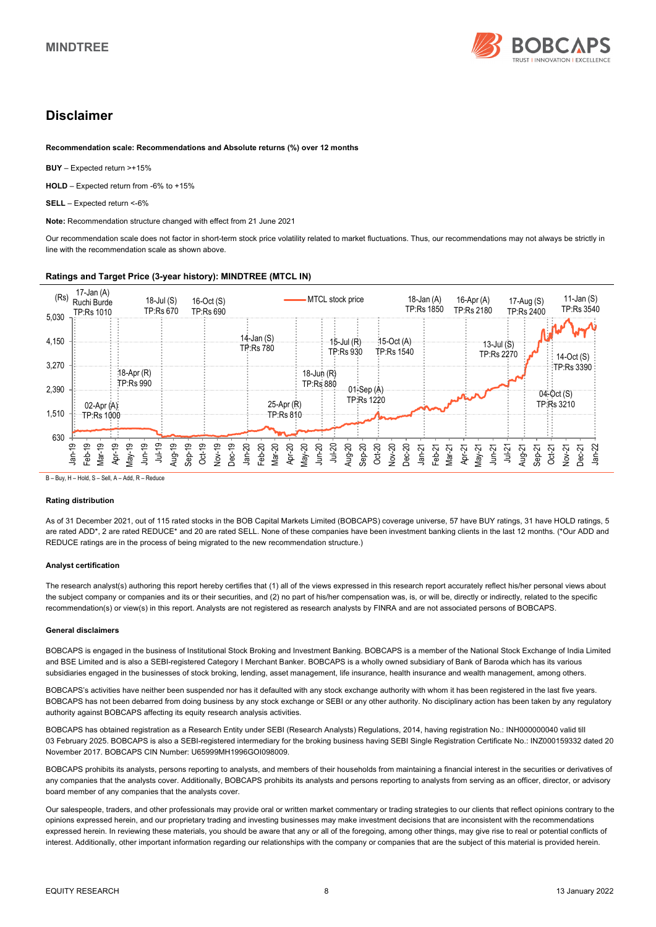

## **Disclaimer**

**Recommendation scale: Recommendations and Absolute returns (%) over 12 months** 

**BUY** – Expected return >+15%

**HOLD** – Expected return from -6% to +15%

**SELL** – Expected return <-6%

**Note:** Recommendation structure changed with effect from 21 June 2021

Our recommendation scale does not factor in short-term stock price volatility related to market fluctuations. Thus, our recommendations may not always be strictly in line with the recommendation scale as shown above.

### **Ratings and Target Price (3-year history): MINDTREE (MTCL IN)**



B – Buy, H – Hold, S – Sell, A – Add, R – Reduce

#### **Rating distribution**

As of 31 December 2021, out of 115 rated stocks in the BOB Capital Markets Limited (BOBCAPS) coverage universe, 57 have BUY ratings, 31 have HOLD ratings, 5 are rated ADD\*, 2 are rated REDUCE\* and 20 are rated SELL. None of these companies have been investment banking clients in the last 12 months. (\*Our ADD and REDUCE ratings are in the process of being migrated to the new recommendation structure.)

#### **Analyst certification**

The research analyst(s) authoring this report hereby certifies that (1) all of the views expressed in this research report accurately reflect his/her personal views about the subject company or companies and its or their securities, and (2) no part of his/her compensation was, is, or will be, directly or indirectly, related to the specific recommendation(s) or view(s) in this report. Analysts are not registered as research analysts by FINRA and are not associated persons of BOBCAPS.

#### **General disclaimers**

BOBCAPS is engaged in the business of Institutional Stock Broking and Investment Banking. BOBCAPS is a member of the National Stock Exchange of India Limited and BSE Limited and is also a SEBI-registered Category I Merchant Banker. BOBCAPS is a wholly owned subsidiary of Bank of Baroda which has its various subsidiaries engaged in the businesses of stock broking, lending, asset management, life insurance, health insurance and wealth management, among others.

BOBCAPS's activities have neither been suspended nor has it defaulted with any stock exchange authority with whom it has been registered in the last five years. BOBCAPS has not been debarred from doing business by any stock exchange or SEBI or any other authority. No disciplinary action has been taken by any regulatory authority against BOBCAPS affecting its equity research analysis activities.

BOBCAPS has obtained registration as a Research Entity under SEBI (Research Analysts) Regulations, 2014, having registration No.: INH000000040 valid till 03 February 2025. BOBCAPS is also a SEBI-registered intermediary for the broking business having SEBI Single Registration Certificate No.: INZ000159332 dated 20 November 2017. BOBCAPS CIN Number: U65999MH1996GOI098009.

BOBCAPS prohibits its analysts, persons reporting to analysts, and members of their households from maintaining a financial interest in the securities or derivatives of any companies that the analysts cover. Additionally, BOBCAPS prohibits its analysts and persons reporting to analysts from serving as an officer, director, or advisory board member of any companies that the analysts cover.

Our salespeople, traders, and other professionals may provide oral or written market commentary or trading strategies to our clients that reflect opinions contrary to the opinions expressed herein, and our proprietary trading and investing businesses may make investment decisions that are inconsistent with the recommendations expressed herein. In reviewing these materials, you should be aware that any or all of the foregoing, among other things, may give rise to real or potential conflicts of interest. Additionally, other important information regarding our relationships with the company or companies that are the subject of this material is provided herein.